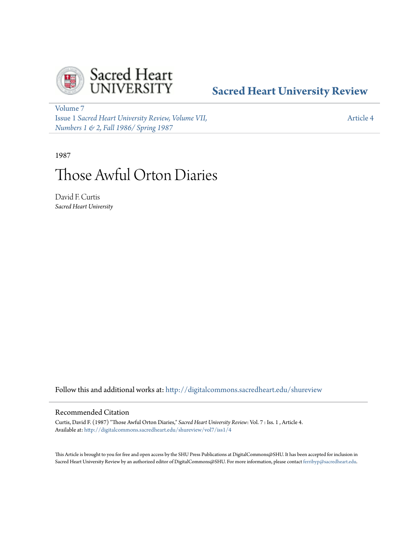

## **[Sacred Heart University Review](http://digitalcommons.sacredheart.edu/shureview?utm_source=digitalcommons.sacredheart.edu%2Fshureview%2Fvol7%2Fiss1%2F4&utm_medium=PDF&utm_campaign=PDFCoverPages)**

[Volume 7](http://digitalcommons.sacredheart.edu/shureview/vol7?utm_source=digitalcommons.sacredheart.edu%2Fshureview%2Fvol7%2Fiss1%2F4&utm_medium=PDF&utm_campaign=PDFCoverPages) Issue 1 *[Sacred Heart University Review, Volume VII,](http://digitalcommons.sacredheart.edu/shureview/vol7/iss1?utm_source=digitalcommons.sacredheart.edu%2Fshureview%2Fvol7%2Fiss1%2F4&utm_medium=PDF&utm_campaign=PDFCoverPages) [Numbers 1 & 2, Fall 1986/ Spring 1987](http://digitalcommons.sacredheart.edu/shureview/vol7/iss1?utm_source=digitalcommons.sacredheart.edu%2Fshureview%2Fvol7%2Fiss1%2F4&utm_medium=PDF&utm_campaign=PDFCoverPages)*

[Article 4](http://digitalcommons.sacredheart.edu/shureview/vol7/iss1/4?utm_source=digitalcommons.sacredheart.edu%2Fshureview%2Fvol7%2Fiss1%2F4&utm_medium=PDF&utm_campaign=PDFCoverPages)

1987

# Those Awful Orton Diaries

David F. Curtis *Sacred Heart University*

Follow this and additional works at: [http://digitalcommons.sacredheart.edu/shureview](http://digitalcommons.sacredheart.edu/shureview?utm_source=digitalcommons.sacredheart.edu%2Fshureview%2Fvol7%2Fiss1%2F4&utm_medium=PDF&utm_campaign=PDFCoverPages)

#### Recommended Citation

Curtis, David F. (1987) "Those Awful Orton Diaries," *Sacred Heart University Review*: Vol. 7 : Iss. 1 , Article 4. Available at: [http://digitalcommons.sacredheart.edu/shureview/vol7/iss1/4](http://digitalcommons.sacredheart.edu/shureview/vol7/iss1/4?utm_source=digitalcommons.sacredheart.edu%2Fshureview%2Fvol7%2Fiss1%2F4&utm_medium=PDF&utm_campaign=PDFCoverPages)

This Article is brought to you for free and open access by the SHU Press Publications at DigitalCommons@SHU. It has been accepted for inclusion in Sacred Heart University Review by an authorized editor of DigitalCommons@SHU. For more information, please contact [ferribyp@sacredheart.edu](mailto:ferribyp@sacredheart.edu).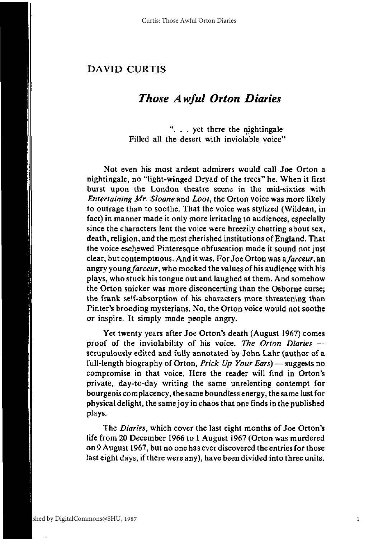### *Those Awful Orton Diaries*

". . . yet there the nightingale Filled all the desert with inviolable voice"

Not even his most ardent admirers would call Joe Orton a nightingale, no "light-winged Dryad of the trees" he. When it first burst upon the London theatre scene in the mid-sixties with *Entertaining Mr. Sloane* and *Loot,* the Orton voice was more likely to outrage than to soothe. That the voice was stylized (Wildean, in fact) in manner made it only more irritating to audiences, especially since the characters lent the voice were breezily chatting about sex, death, religion, and the most cherished institutions of England. That the voice eschewed Pinteresque obfuscation made it sound not just clear, but contemptuous. And it was. For Joe Orton was a *farceur,* an angry *young farceur,* who mocked the values of his audience with his plays, who stuck his tongue out and laughed at them. And somehow the Orton snicker was more disconcerting than the Osborne curse; the frank self-absorption of his characters more threatening than Pinter's brooding mysterians. No, the Orton voice would not soothe or inspire. It simply made people angry.

Yet twenty years after Joe Orton's death (August 1967) comes proof of the inviolability of his voice. *The Orton Diaries* scrupulously edited and fully annotated by John Lahr (author of a full-length biography of Orton, *Prick Up Your Ears)* — suggests no compromise in that voice. Here the reader will find in Orton's private, day-to-day writing the same unrelenting contempt for bourgeois complacency, the same boundless energy, the same lust for physical delight, the same joy in chaos that one finds in the published plays.

The *Diaries,* which cover the last eight months of Joe Orton's life from 20 December 1966 to 1 August 1967 (Orton was murdered on 9 August 1967, but no one has ever discovered the entries for those last eight days, if there were any), have been divided into three units.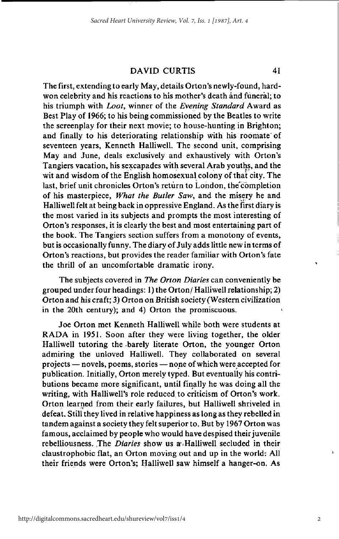The first, extending to early May, details Orton's newly-found, hardwon celebrity and his reactions to his mother's death and funeral; to his triumph with *Loot,* winner of the *Evening Standard* Award as Best Play of 1966; to his being commissioned by the Beatles to write the screenplay for their next movie; to house-hunting in Brighton; and finally to his deteriorating relationship with his roomate'of seventeen years, Kenneth Halliwell. The second unit, comprising May and June, deals exclusively and exhaustively with Orton's Tangiers vacation, his sexcapades with several Arab youths, and the wit and wisdom of the English homosexual colony of that city. The last, brief unit chronicles Orton's return to London, the completion of his masterpiece, *What the Butler Saw,* and the misery he and Halliwell felt at being back in oppressive England. As the first diary is the most varied in its subjects and prompts the most interesting of Orton's responses, it is clearly the best and most entertaining part of the book. The Tangiers section suffers from a monotony of events, but is occasionally funny. The diary of July adds little new in terms of Orton's reactions, but provides the reader familiar with Orton's fate the thrill of an uncomfortable dramatic irony.

The subjects covered in *The Orton Diaries* can conveniently be grouped under four headings: 1) the Orton/ Halliwell relationship; 2) Orton and his craft; 3) Orton on British society (Western civilization in the 20th century); and 4) Orton the promiscuous.

Joe Orton met Kenneth Halliwell while both were students at RADA in 1951. Soon after they were living together, the older Halliwell tutoring the barely literate Orton, the younger Orton admiring the unloved Halliwell. They collaborated on several projects — novels, poems, stories — none of which were accepted for publication. Initially, Orton merely typed. But eventually his contributions became more significant, until finally he was doing all the writing, with Halliwell's role reduced to criticism of Orton's work. Orton learned from their early failures, but Halliwell shriveled in defeat. Still they lived in relative happiness as long as they rebelled in tandem against a society they felt superior to. But by 1967 Orton was famous, acclaimed by people who would have despised their juvenile rebelliousness. The *Diaries* show us a Halliwell secluded in their claustrophobic flat, an Orton moving out and up in the world: All their friends were Orton's; Halliwell saw himself a hanger-on. As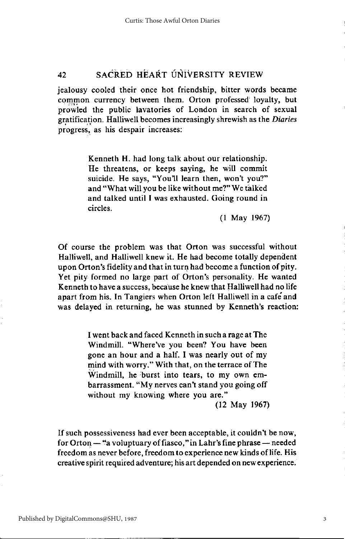jealousy cooled their once hot friendship, bitter words became common currency between them. Orton professed loyalty, but prowled the public lavatories of London in search of sexual gratification. Halliwell becomes increasingly shrewish as the *Diaries*  progress, as his despair increases:

> Kenneth H. had long talk about our relationship. He threatens, or keeps saying, he will commit suicide. He says, "You'll learn then, won't you?" and "What will you be like without me?" We talked and talked until I was exhausted. Going round in circles.

> > (1 May 1967)

Of course the problem was that Orton was successful without Halliwell, and Halliwell knew it. He had become totally dependent upon Orton's fidelity and that in turn had become a function of pity. Yet pity formed no large part of Orton's personality. He wanted Kenneth to have a success, because he knew that Halliwell had no life apart from his. In Tangiers when Orton left Halliwell in a cafe'and was delayed in returning, he was stunned by Kenneth's reaction:

> I went back and faced Kenneth in such a rage at The Windmill. "Where've you been? You have been gone an hour and a half. I was nearly out of my mind with worry." With that, on the terrace of The Windmill, he burst into tears, to my own embarrassment. "My nerves can't stand you going off without my knowing where you are."

(12 May 1967)

If such possessiveness had ever been acceptable, it couldn't be now, for Orton — "a voluptuary of fiasco,"in Lahr's fine phrase — needed freedom as never before, freedom to experience new kinds of life. His creative spirit required adventure; his art depended on new experience.

3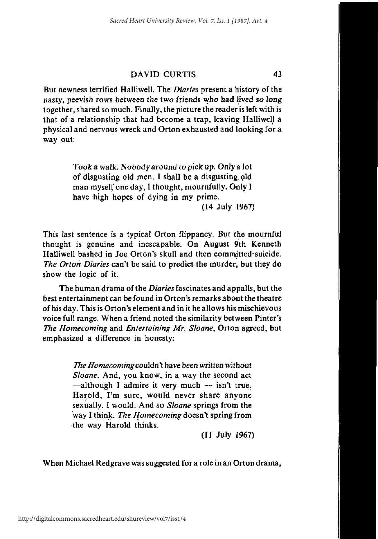But newness terrified Halliwell. The *Diaries* present a history of the nasty, peevish rows between the two friends who had lived so long together, shared so much. Finally, the picture the reader is left with is that of a relationship that had become a trap, leaving Halliwell a physical and nervous wreck and Orton exhausted and looking for a way out:

> Took a walk. Nobody around to pick up. Only a lot of disgusting old men. I shall be a disgusting old man myself one day, I thought, mournfully. Only I have high hopes of dying in my prime.

(14 July 1967)

This last sentence is a typical Orton flippancy. But the mournful thought is genuine and inescapable. On August 9th Kenneth Halliwell bashed in Joe Orton's skull and then committed suicide. *The Orton Diaries* can't be said to predict the murder, but they do show the logic of it.

The human drama of the *Diaries* fascinates and appalls, but the best entertainment can be found in Orton's remarks about the theatre of his day. This is Orton's element and in it he allows his mischievous voice full range. When a friend noted the similarity between Pinter's *The Homecoming* and *Entertaining Mr. Shane,* Orton agreed, but emphasized a difference in honesty:

> *The Homecoming* couldn't have been written without *Shane.* And, you know, in a way the second act —although I admire it very much — isn't true. Harold, I'm sure, would never share anyone sexually. I would. And so *Sloane* springs from the way I think. *The Homecoming* doesn't spring from the way Harold thinks.

> > (11 July 1967)

When Michael Redgrave was suggested for a role in an Orton drama,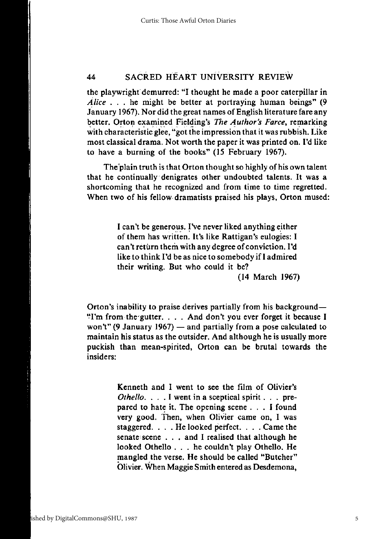the playwright demurred: "I thought he made a poor caterpillar in *Alice* .. . he might be better at portraying human beings" (9 January 1967). Nor did the great names of English literature fare any better. Orton examined Fielding's *The Author's Farce,* remarking with characteristic glee, "got the impression that it was rubbish. Like most classical drama. Not worth the paper it was printed on. I'd like to have a burning of the books" (15 February 1967).

The plain truth is that Orton thought so highly of his own talent that he continually denigrates other undoubted talents. It was a shortcoming that he recognized and from time to time regretted. When two of his fellow dramatists praised his plays, Orton mused:

> I can't be generous. I've never liked anything either of them has written. It's like Rattigan's eulogies: I can't return them with any degree of conviction. I'd like to think I'd be as nice to somebody if I admired their writing. But who could it be?

(14 March 1967)

Orton's inability to praise derives partially from his background— \*Tm from thegutter. . . . And don't you ever forget it because I won't" (9 January 1967) — and partially from a pose calculated to maintain his status as the outsider. And although he is usually more puckish than mean-spirited, Orton can be brutal towards the insiders:

> Kenneth and I went to see the film of Olivier's *Othello.* . . . I went in a sceptical spirit. . . prepared to hate it. The opening scene .. . I found very good. Then, when Olivier came on, I was staggered. .. . He looked perfect. . . . Came the senate scene . . . and I realised that although he looked Othello . . . he couldn't play Othello. He mangled the verse. He should be called "Butcher" Olivier. When Maggie Smith entered as Desdemona,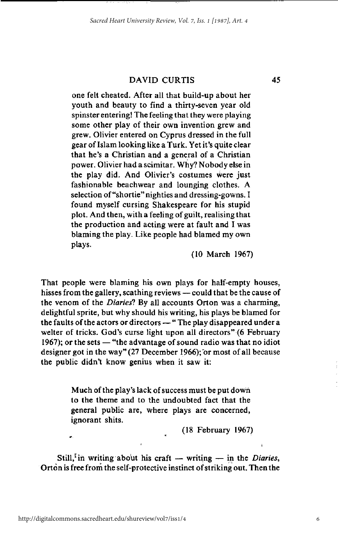one felt cheated. After all that build-up about her youth and beauty to find a thirty-seven year old spinster entering! The feeling that they were playing some other play of their own invention grew and grew. Olivier entered on Cyprus dressed in the full gear of Islam looking like a Turk. Yet it's quite clear that he's a Christian and a general of a Christian power. Olivier had a scimitar. Why? Nobody else in the play did. And Olivier's costumes were just fashionable beachwear and lounging clothes. A selection of "shortie" nighties and dressing-gowns. I found myself cursing Shakespeare for his stupid plot. And then, with a feeling of guilt, realising that the production and acting were at fault and I was blaming the play. Like people had blamed my own plays.

(10 March 1967)

That people were blaming his own plays for half-empty houses, hisses from the gallery, scathing reviews — could that be the cause of the venom of the *Diariesl* By all accounts Orton was a charming, delightful sprite, but why should his writing, his plays be blamed for the faults of the actors or directors — "The play disappeared under a welter of tricks. God's curse light upon all directors" (6 February 1967); or the sets — "the advantage of sound radio was that no idiot designer got in the way" (27 December 1966); or most of all because the public didn't know genius when it saw it:

> Much of the play's lack of success must be put down to the theme and to the undoubted fact that the general public are, where plays are concerned, ignorant shits.

> > (18 February 1967)

Still,<sup> $\zeta$ </sup> in writing about his craft — writing — in the *Diaries*, Orton is free from the self-protective instinct of striking out. Then the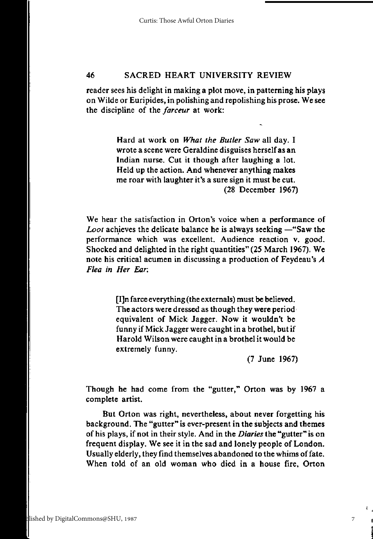reader sees his delight in making a plot move, in patterning his plays on Wilde or Euripides, in polishing and repolishing his prose. We see the discipline of the *farceur* at work:

> Hard at work on *What the Butler Saw* all day. I wrote a scene were Geraldine disguises herself as an Indian nurse. Cut it though after laughing a lot. Held up the action. And whenever anything makes me roar with laughter it's a sure sign it must be cut. (28 December 1967)

We hear the satisfaction in Orton's voice when a performance of *Loot* achieves the delicate balance he is always seeking —"Saw the performance which was excellent. Audience reaction v. good. Shocked and delighted in the right quantities" (25 March 1967). We note his critical acumen in discussing a production of Feydeau's *A Flea in Her Ear.* 

> [I]n farce everything (the externals) must be believed. The actors were dressed as though they were period equivalent of Mick Jagger. Now it wouldn't be funny if Mick Jagger were caught in a brothel, but if Harold Wilson were caught in a brothel it would be extremely funny.

> > (7 June 1967)

7

Though he had come from the "gutter," Orton was by 1967 a complete artist.

But Orton was right, nevertheless, about never forgetting his background. The "gutter" is ever-present in the subjects and themes of his plays, if not in their style. And in the *Diaries* the "gutter" is on frequent display. We see it in the sad and lonely people of London. Usually elderly, they find themselves abandoned to the whims of fate. When told of an old woman who died in a house fire, Orton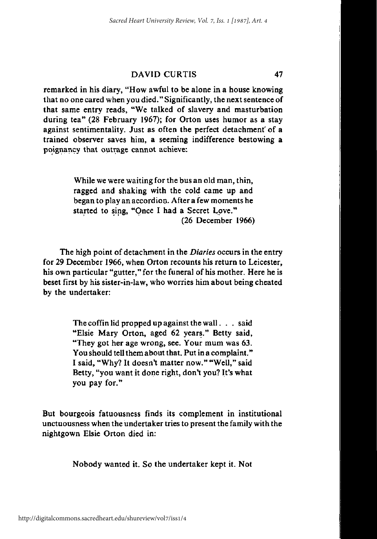remarked in his diary, "How awful to be alone in a house knowing that no one cared when you died." Significantly, the next sentence of that same entry reads, "We talked of slavery and masturbation during tea" (28 February 1967); for Orton uses humor as a stay against sentimentality. Just as often the perfect detachment' of a trained observer saves him, a seeming indifference bestowing a poignancy that outrage cannot achieve:

> While we were waiting for the bus an old man, thin, ragged and shaking with the cold came up and began to play an accordion. After a few moments he started to sing, "Once I had a Secret Love." (26 December 1966)

The high point of detachment in the *Diaries* occurs in the entry for 29 December 1966, when Orton recounts his return to Leicester, his own particular "gutter," for the funeral of his mother. Here he is beset first by his sister-in-law, who worries him about being cheated by the undertaker:

> The coffin lid propped up against the wall.  $\ldots$  said "Elsie Mary Orton, aged 62 years." Betty said, "They got her age wrong, see. Your mum was 63. You should tell them about that. Put in a complaint." I said, "Why? It doesn't matter now." "Well," said Betty, "you want it done right, don't you? It's what you pay for."

But bourgeois fatuousness finds its complement in institutional unctuousness when the undertaker tries to present the family with the nightgown Elsie Orton died in:

Nobody wanted it. So the undertaker kept it. Not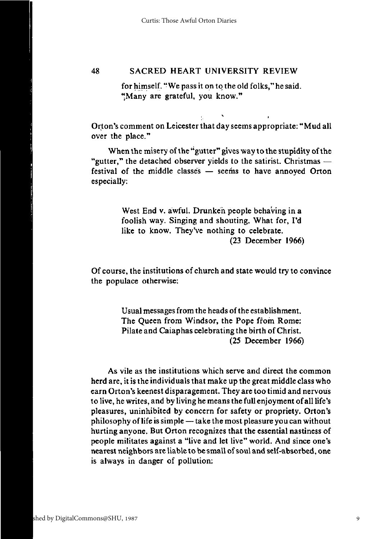for himself. "We pass it on to the old folks," he said. "Many are grateful, you know."

Orton's comment on Leicester that day seems appropriate: "Mud all over the place."

When the misery of the "gutter" gives way to the stupidity of the "gutter," the detached observer yields to the satirist. Christmas festival of the middle classes — seems to have annoyed Orton especially:

> West End v. awful. Drunken people behaving in a foolish way. Singing and shouting. What for, I'd like to know. They've nothing to celebrate. (23 December 1966)

Of course, the institutions of church and state would try to convince the populace otherwise:

> Usual messages from the heads of the establishment. The Queen from Windsor, the Pope from Rome: Pilate and Caiaphas celebrating the birth of Christ. (25 December 1966)

As vile as the institutions which serve and direct the common herd are, it is the individuals that make up the great middle class who earn Orton's keenest disparagement. They are too timid and nervous to live, he writes, and by living he means the full enjoyment of all life's pleasures, uninhibited by concern for safety or propriety. Orton's philosophy of life is simple — take the most pleasure you can without hurting anyone. But Orton recognizes that the essential nastiness of people militates against a "live and let live" world. And since one's nearest neighbors are liable to be small of soul and self-absorbed, one is always in danger of pollution: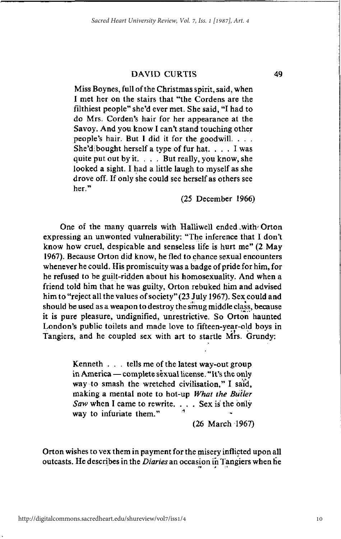Miss Boynes, full of the Christmas spirit, said, when I met her on the stairs that "the Cordens are the filthiest people" she'd ever met. She said, "I had to do Mrs. Corden's hair for her appearance at the Savoy. And you know I can't stand touching other people's hair. But I did it for the goodwill. . . . She'd $\delta$ bought herself a type of fur hat. . . . I was quite put out by it.  $\ldots$  But really, you know, she looked a sight. I had a little laugh to myself as she drove off. If only she could see herself as others see her."

(25 December 1966)

One of the many quarrels with Halliwell ended with Orton expressing an unwonted vulnerability: "The inference that I don't know how cruel, despicable and senseless life is hurt me" (2 May 1967). Because Orton did know, he fled to chance sexual encounters whenever he could. His promiscuity was a badge of pride for him, for he refused to be guilt-ridden about his homosexuality. And when a friend told him that he was guilty, Orton rebuked him and advised him to "reject all the values of society" (23 July 1967). Sex could and should be used as a weapon to destroy the smug middle class, because it is pure pleasure, undignified, unrestrictive. So Orton haunted London's public toilets and made love to fifteen-year-old boys in Tangiers, and he coupled sex with art to startle Mrs. Grundy:

> Kenneth . . . tells me of the latest way-out group in America — complete sexual license. "It's the only way to smash the wretched civilisation," I said, making a mental note to hot-up *What the Butler Saw* when I came to rewrite. . . . Sex is the only way to infuriate them."

> > (26 March 1967)

Orton wishes to vex them in payment for the misery inflicted upon all outcasts. He describes in the *Diaries* an occasion in Tangiers when he

10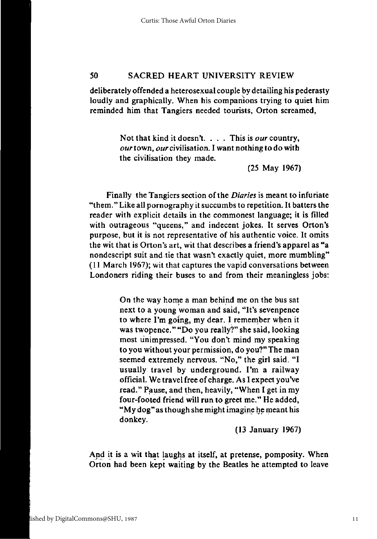deliberately offended a heterosexual couple by detailing his pederasty loudly and graphically. When his companions trying to quiet him reminded him that Tangiers needed tourists, Orton screamed,

> Not that kind it doesn't. . . . This is *our* country, our town, *our* civilisation. I want nothing to do with the civilisation they made.

> > (25 May 1967)

Finally the Tangiers section of the *Diaries* is meant to infuriate "them." Like all pornography it succumbs to repetition. It batters the reader with explicit details in the commonest language; it is filled with outrageous "queens," and indecent jokes. It serves Orton's purpose, but it is not representative of his authentic voice. It omits the wit that is Orton's art, wit that describes a friend's apparel as "a nondescript suit and tie that wasn't exactly quiet, more mumbling" (11 March 1967); wit that captures the vapid conversations between Londoners riding their buses to and from their meaningless jobs:

> On the way home a man behind me on the bus sat next to a young woman and said, "It's sevenpence to where I'm going, my dear. I remember when it was twopence." "Do you really?" she said, looking most unimpressed. "You don't mind my speaking to you without your permission, do you?" The man seemed extremely nervous. "No," the girl said. "I usually travel by underground. I'm a railway official. We travel free of charge. As I expect you've read." Pause, and then, heavily, "When I get in my four-footed friend will run to greet me." He added, "My dog"as though she might imagine he meant his donkey.

> > (13 January 1967)

And it is a wit that laughs at itself, at pretense, pomposity. When Orton had been kept waiting by the Beatles he attempted to leave